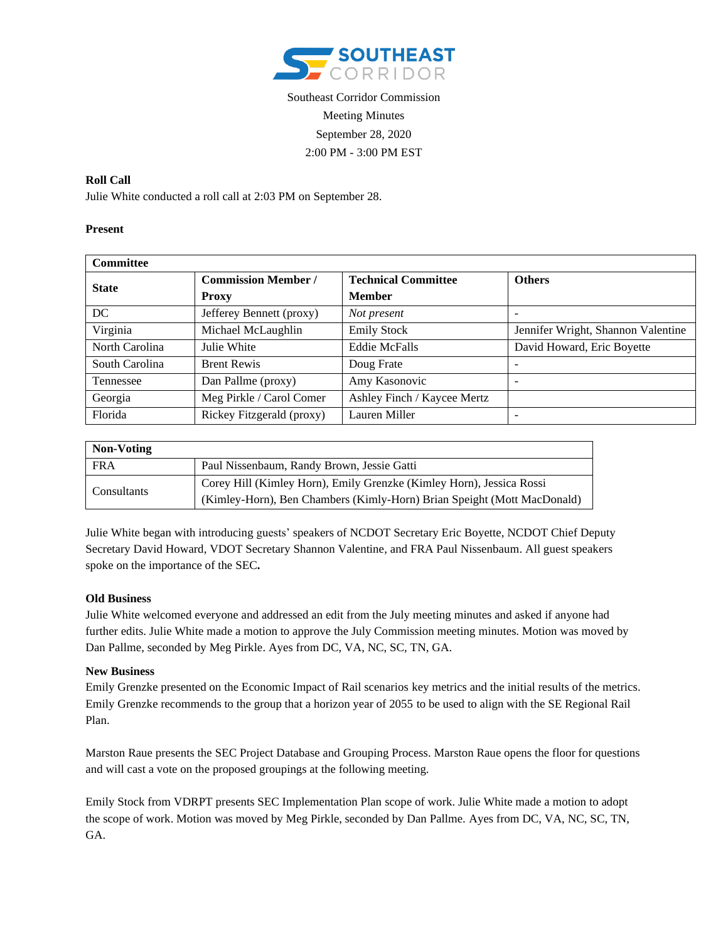

# Southeast Corridor Commission Meeting Minutes September 28, 2020 2:00 PM - 3:00 PM EST

### **Roll Call**

Julie White conducted a roll call at 2:03 PM on September 28.

### **Present**

| <b>Committee</b> |                            |                             |                                    |
|------------------|----------------------------|-----------------------------|------------------------------------|
| <b>State</b>     | <b>Commission Member /</b> | <b>Technical Committee</b>  | <b>Others</b>                      |
|                  | <b>Proxy</b>               | <b>Member</b>               |                                    |
| DC               | Jefferey Bennett (proxy)   | Not present                 | -                                  |
| Virginia         | Michael McLaughlin         | <b>Emily Stock</b>          | Jennifer Wright, Shannon Valentine |
| North Carolina   | Julie White                | <b>Eddie McFalls</b>        | David Howard, Eric Boyette         |
| South Carolina   | <b>Brent Rewis</b>         | Doug Frate                  | -                                  |
| Tennessee        | Dan Pallme (proxy)         | Amy Kasonovic               | -                                  |
| Georgia          | Meg Pirkle / Carol Comer   | Ashley Finch / Kaycee Mertz |                                    |
| Florida          | Rickey Fitzgerald (proxy)  | Lauren Miller               |                                    |

| Non-Voting  |                                                                         |  |  |
|-------------|-------------------------------------------------------------------------|--|--|
| <b>FRA</b>  | Paul Nissenbaum, Randy Brown, Jessie Gatti                              |  |  |
| Consultants | Corey Hill (Kimley Horn), Emily Grenzke (Kimley Horn), Jessica Rossi    |  |  |
|             | (Kimley-Horn), Ben Chambers (Kimly-Horn) Brian Speight (Mott MacDonald) |  |  |

Julie White began with introducing guests' speakers of NCDOT Secretary Eric Boyette, NCDOT Chief Deputy Secretary David Howard, VDOT Secretary Shannon Valentine, and FRA Paul Nissenbaum. All guest speakers spoke on the importance of the SEC**.**

#### **Old Business**

Julie White welcomed everyone and addressed an edit from the July meeting minutes and asked if anyone had further edits. Julie White made a motion to approve the July Commission meeting minutes. Motion was moved by Dan Pallme, seconded by Meg Pirkle. Ayes from DC, VA, NC, SC, TN, GA.

#### **New Business**

Emily Grenzke presented on the Economic Impact of Rail scenarios key metrics and the initial results of the metrics. Emily Grenzke recommends to the group that a horizon year of 2055 to be used to align with the SE Regional Rail Plan.

Marston Raue presents the SEC Project Database and Grouping Process. Marston Raue opens the floor for questions and will cast a vote on the proposed groupings at the following meeting.

Emily Stock from VDRPT presents SEC Implementation Plan scope of work. Julie White made a motion to adopt the scope of work. Motion was moved by Meg Pirkle, seconded by Dan Pallme. Ayes from DC, VA, NC, SC, TN, GA.